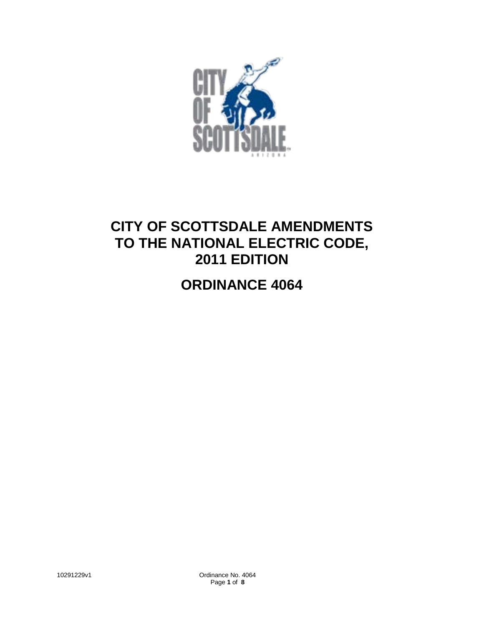

# **CITY OF SCOTTSDALE AMENDMENTS TO THE NATIONAL ELECTRIC CODE, 2011 EDITION**

# **ORDINANCE 4064**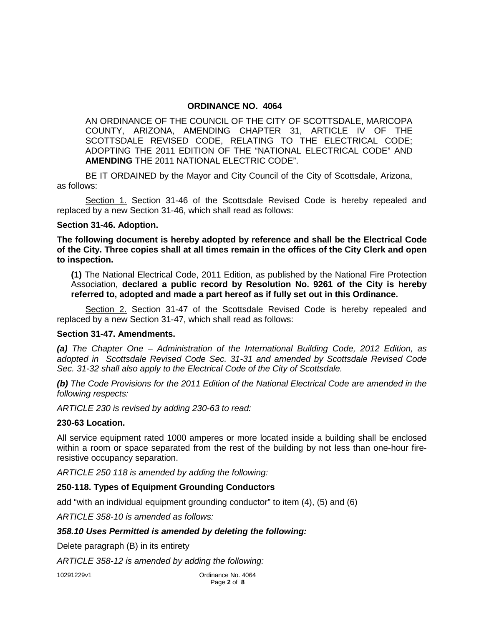### **ORDINANCE NO. 4064**

AN ORDINANCE OF THE COUNCIL OF THE CITY OF SCOTTSDALE, MARICOPA COUNTY, ARIZONA, AMENDING CHAPTER 31, ARTICLE IV OF THE SCOTTSDALE REVISED CODE, RELATING TO THE ELECTRICAL CODE; ADOPTING THE 2011 EDITION OF THE "NATIONAL ELECTRICAL CODE" AND **AMENDING** THE 2011 NATIONAL ELECTRIC CODE".

BE IT ORDAINED by the Mayor and City Council of the City of Scottsdale, Arizona, as follows:

Section 1. Section 31-46 of the Scottsdale Revised Code is hereby repealed and replaced by a new Section 31-46, which shall read as follows:

#### **Section 31-46. Adoption.**

**The following document is hereby adopted by reference and shall be the Electrical Code of the City. Three copies shall at all times remain in the offices of the City Clerk and open to inspection.** 

**(1)** The National Electrical Code, 2011 Edition, as published by the National Fire Protection Association, **declared a public record by Resolution No. 9261 of the City is hereby referred to, adopted and made a part hereof as if fully set out in this Ordinance.**

Section 2. Section 31-47 of the Scottsdale Revised Code is hereby repealed and replaced by a new Section 31-47, which shall read as follows:

#### **Section 31-47. Amendments.**

*(a) The Chapter One – Administration of the International Building Code, 2012 Edition, as adopted in Scottsdale Revised Code Sec. 31-31 and amended by Scottsdale Revised Code Sec. 31-32 shall also apply to the Electrical Code of the City of Scottsdale.*

*(b) The Code Provisions for the 2011 Edition of the National Electrical Code are amended in the following respects:*

*ARTICLE 230 is revised by adding 230-63 to read:*

#### **230-63 Location.**

All service equipment rated 1000 amperes or more located inside a building shall be enclosed within a room or space separated from the rest of the building by not less than one-hour fireresistive occupancy separation.

*ARTICLE 250 118 is amended by adding the following:*

#### **250-118. Types of Equipment Grounding Conductors**

add "with an individual equipment grounding conductor" to item (4), (5) and (6)

*ARTICLE 358-10 is amended as follows:*

#### *358.10 Uses Permitted is amended by deleting the following:*

Delete paragraph (B) in its entirety

*ARTICLE 358-12 is amended by adding the following:*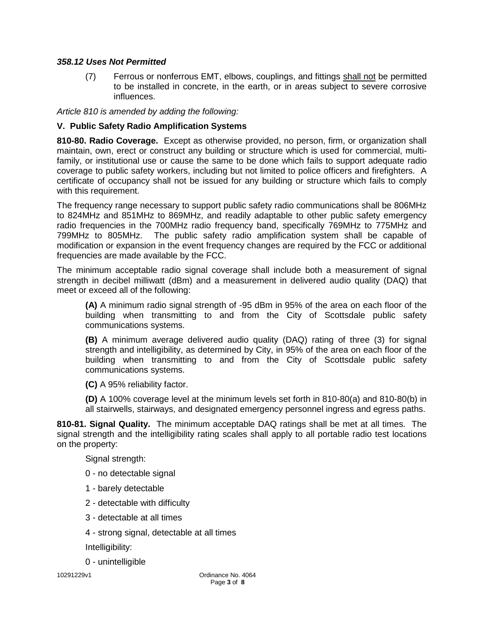## *358.12 Uses Not Permitted*

(7) Ferrous or nonferrous EMT, elbows, couplings, and fittings shall not be permitted to be installed in concrete, in the earth, or in areas subject to severe corrosive influences.

*Article 810 is amended by adding the following:*

## **V. Public Safety Radio Amplification Systems**

**810-80. Radio Coverage.** Except as otherwise provided, no person, firm, or organization shall maintain, own, erect or construct any building or structure which is used for commercial, multifamily, or institutional use or cause the same to be done which fails to support adequate radio coverage to public safety workers, including but not limited to police officers and firefighters. A certificate of occupancy shall not be issued for any building or structure which fails to comply with this requirement.

The frequency range necessary to support public safety radio communications shall be 806MHz to 824MHz and 851MHz to 869MHz, and readily adaptable to other public safety emergency radio frequencies in the 700MHz radio frequency band, specifically 769MHz to 775MHz and 799MHz to 805MHz. The public safety radio amplification system shall be capable of modification or expansion in the event frequency changes are required by the FCC or additional frequencies are made available by the FCC.

The minimum acceptable radio signal coverage shall include both a measurement of signal strength in decibel milliwatt (dBm) and a measurement in delivered audio quality (DAQ) that meet or exceed all of the following:

**(A)** A minimum radio signal strength of -95 dBm in 95% of the area on each floor of the building when transmitting to and from the City of Scottsdale public safety communications systems.

**(B)** A minimum average delivered audio quality (DAQ) rating of three (3) for signal strength and intelligibility, as determined by City, in 95% of the area on each floor of the building when transmitting to and from the City of Scottsdale public safety communications systems.

**(C)** A 95% reliability factor.

**(D)** A 100% coverage level at the minimum levels set forth in 810-80(a) and 810-80(b) in all stairwells, stairways, and designated emergency personnel ingress and egress paths.

**810-81. Signal Quality.** The minimum acceptable DAQ ratings shall be met at all times. The signal strength and the intelligibility rating scales shall apply to all portable radio test locations on the property:

Signal strength:

- 0 no detectable signal
- 1 barely detectable
- 2 detectable with difficulty
- 3 detectable at all times
- 4 strong signal, detectable at all times

Intelligibility:

0 - unintelligible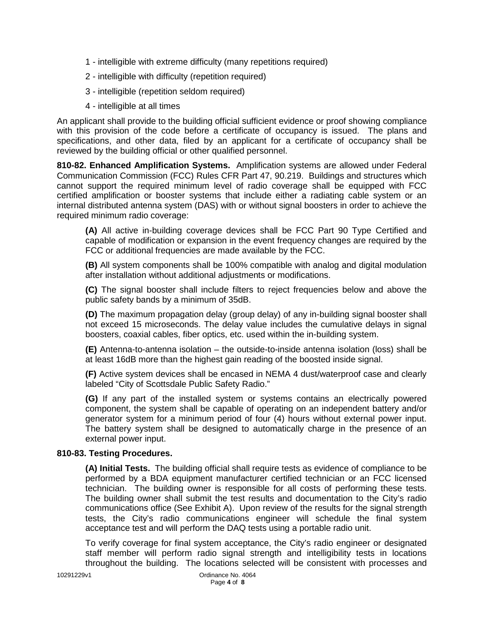- 1 intelligible with extreme difficulty (many repetitions required)
- 2 intelligible with difficulty (repetition required)
- 3 intelligible (repetition seldom required)
- 4 intelligible at all times

An applicant shall provide to the building official sufficient evidence or proof showing compliance with this provision of the code before a certificate of occupancy is issued. The plans and specifications, and other data, filed by an applicant for a certificate of occupancy shall be reviewed by the building official or other qualified personnel.

**810-82. Enhanced Amplification Systems.** Amplification systems are allowed under Federal Communication Commission (FCC) Rules CFR Part 47, 90.219. Buildings and structures which cannot support the required minimum level of radio coverage shall be equipped with FCC certified amplification or booster systems that include either a radiating cable system or an internal distributed antenna system (DAS) with or without signal boosters in order to achieve the required minimum radio coverage:

**(A)** All active in-building coverage devices shall be FCC Part 90 Type Certified and capable of modification or expansion in the event frequency changes are required by the FCC or additional frequencies are made available by the FCC.

**(B)** All system components shall be 100% compatible with analog and digital modulation after installation without additional adjustments or modifications.

**(C)** The signal booster shall include filters to reject frequencies below and above the public safety bands by a minimum of 35dB.

**(D)** The maximum propagation delay (group delay) of any in-building signal booster shall not exceed 15 microseconds. The delay value includes the cumulative delays in signal boosters, coaxial cables, fiber optics, etc. used within the in-building system.

**(E)** Antenna-to-antenna isolation – the outside-to-inside antenna isolation (loss) shall be at least 16dB more than the highest gain reading of the boosted inside signal.

**(F)** Active system devices shall be encased in NEMA 4 dust/waterproof case and clearly labeled "City of Scottsdale Public Safety Radio."

**(G)** If any part of the installed system or systems contains an electrically powered component, the system shall be capable of operating on an independent battery and/or generator system for a minimum period of four (4) hours without external power input. The battery system shall be designed to automatically charge in the presence of an external power input.

# **810-83. Testing Procedures.**

**(A) Initial Tests.** The building official shall require tests as evidence of compliance to be performed by a BDA equipment manufacturer certified technician or an FCC licensed technician. The building owner is responsible for all costs of performing these tests. The building owner shall submit the test results and documentation to the City's radio communications office (See Exhibit A). Upon review of the results for the signal strength tests, the City's radio communications engineer will schedule the final system acceptance test and will perform the DAQ tests using a portable radio unit.

To verify coverage for final system acceptance, the City's radio engineer or designated staff member will perform radio signal strength and intelligibility tests in locations throughout the building. The locations selected will be consistent with processes and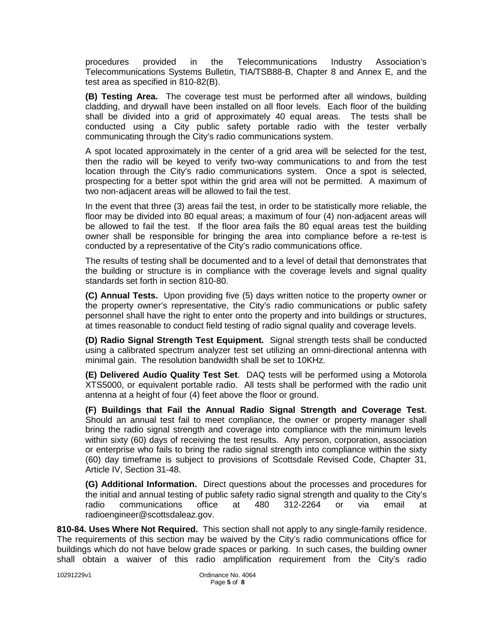procedures provided in the Telecommunications Industry Association's Telecommunications Systems Bulletin, TIA/TSB88-B, Chapter 8 and Annex E, and the test area as specified in 810-82(B).

**(B) Testing Area.** The coverage test must be performed after all windows, building cladding, and drywall have been installed on all floor levels. Each floor of the building shall be divided into a grid of approximately 40 equal areas. The tests shall be conducted using a City public safety portable radio with the tester verbally communicating through the City's radio communications system.

A spot located approximately in the center of a grid area will be selected for the test, then the radio will be keyed to verify two-way communications to and from the test location through the City's radio communications system. Once a spot is selected, prospecting for a better spot within the grid area will not be permitted. A maximum of two non-adjacent areas will be allowed to fail the test.

In the event that three (3) areas fail the test, in order to be statistically more reliable, the floor may be divided into 80 equal areas; a maximum of four (4) non-adjacent areas will be allowed to fail the test. If the floor area fails the 80 equal areas test the building owner shall be responsible for bringing the area into compliance before a re-test is conducted by a representative of the City's radio communications office.

The results of testing shall be documented and to a level of detail that demonstrates that the building or structure is in compliance with the coverage levels and signal quality standards set forth in section 810-80.

**(C) Annual Tests.** Upon providing five (5) days written notice to the property owner or the property owner's representative, the City's radio communications or public safety personnel shall have the right to enter onto the property and into buildings or structures, at times reasonable to conduct field testing of radio signal quality and coverage levels.

**(D) Radio Signal Strength Test Equipment.** Signal strength tests shall be conducted using a calibrated spectrum analyzer test set utilizing an omni-directional antenna with minimal gain. The resolution bandwidth shall be set to 10KHz.

**(E) Delivered Audio Quality Test Set**. DAQ tests will be performed using a Motorola XTS5000, or equivalent portable radio. All tests shall be performed with the radio unit antenna at a height of four (4) feet above the floor or ground.

**(F) Buildings that Fail the Annual Radio Signal Strength and Coverage Test**. Should an annual test fail to meet compliance, the owner or property manager shall bring the radio signal strength and coverage into compliance with the minimum levels within sixty (60) days of receiving the test results. Any person, corporation, association or enterprise who fails to bring the radio signal strength into compliance within the sixty (60) day timeframe is subject to provisions of Scottsdale Revised Code, Chapter 31, Article IV, Section 31-48.

**(G) Additional Information.** Direct questions about the processes and procedures for the initial and annual testing of public safety radio signal strength and quality to the City's radio communications office at 480 312-2264 or via email at radioengineer@scottsdaleaz.gov.

**810-84. Uses Where Not Required.** This section shall not apply to any single-family residence. The requirements of this section may be waived by the City's radio communications office for buildings which do not have below grade spaces or parking. In such cases, the building owner shall obtain a waiver of this radio amplification requirement from the City's radio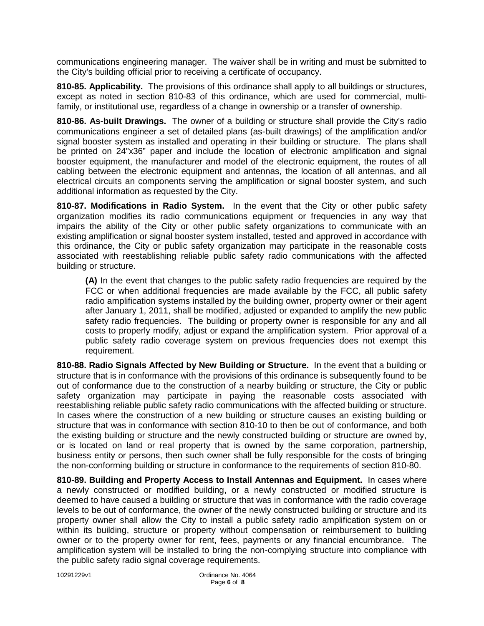communications engineering manager. The waiver shall be in writing and must be submitted to the City's building official prior to receiving a certificate of occupancy.

**810-85. Applicability.** The provisions of this ordinance shall apply to all buildings or structures, except as noted in section 810-83 of this ordinance, which are used for commercial, multifamily, or institutional use, regardless of a change in ownership or a transfer of ownership.

**810-86. As-built Drawings.** The owner of a building or structure shall provide the City's radio communications engineer a set of detailed plans (as-built drawings) of the amplification and/or signal booster system as installed and operating in their building or structure. The plans shall be printed on 24"x36" paper and include the location of electronic amplification and signal booster equipment, the manufacturer and model of the electronic equipment, the routes of all cabling between the electronic equipment and antennas, the location of all antennas, and all electrical circuits an components serving the amplification or signal booster system, and such additional information as requested by the City.

**810-87. Modifications in Radio System.** In the event that the City or other public safety organization modifies its radio communications equipment or frequencies in any way that impairs the ability of the City or other public safety organizations to communicate with an existing amplification or signal booster system installed, tested and approved in accordance with this ordinance, the City or public safety organization may participate in the reasonable costs associated with reestablishing reliable public safety radio communications with the affected building or structure.

**(A)** In the event that changes to the public safety radio frequencies are required by the FCC or when additional frequencies are made available by the FCC, all public safety radio amplification systems installed by the building owner, property owner or their agent after January 1, 2011, shall be modified, adjusted or expanded to amplify the new public safety radio frequencies. The building or property owner is responsible for any and all costs to properly modify, adjust or expand the amplification system. Prior approval of a public safety radio coverage system on previous frequencies does not exempt this requirement.

**810-88. Radio Signals Affected by New Building or Structure.** In the event that a building or structure that is in conformance with the provisions of this ordinance is subsequently found to be out of conformance due to the construction of a nearby building or structure, the City or public safety organization may participate in paying the reasonable costs associated with reestablishing reliable public safety radio communications with the affected building or structure. In cases where the construction of a new building or structure causes an existing building or structure that was in conformance with section 810-10 to then be out of conformance, and both the existing building or structure and the newly constructed building or structure are owned by, or is located on land or real property that is owned by the same corporation, partnership, business entity or persons, then such owner shall be fully responsible for the costs of bringing the non-conforming building or structure in conformance to the requirements of section 810-80.

**810-89. Building and Property Access to Install Antennas and Equipment.** In cases where a newly constructed or modified building, or a newly constructed or modified structure is deemed to have caused a building or structure that was in conformance with the radio coverage levels to be out of conformance, the owner of the newly constructed building or structure and its property owner shall allow the City to install a public safety radio amplification system on or within its building, structure or property without compensation or reimbursement to building owner or to the property owner for rent, fees, payments or any financial encumbrance. The amplification system will be installed to bring the non-complying structure into compliance with the public safety radio signal coverage requirements.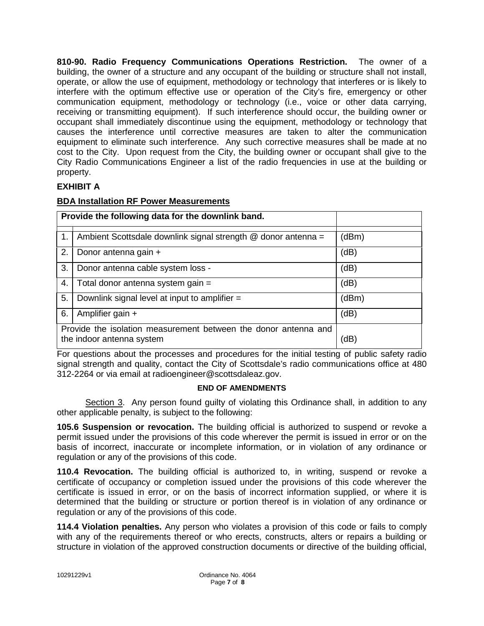**810-90. Radio Frequency Communications Operations Restriction.** The owner of a building, the owner of a structure and any occupant of the building or structure shall not install, operate, or allow the use of equipment, methodology or technology that interferes or is likely to interfere with the optimum effective use or operation of the City's fire, emergency or other communication equipment, methodology or technology (i.e., voice or other data carrying, receiving or transmitting equipment). If such interference should occur, the building owner or occupant shall immediately discontinue using the equipment, methodology or technology that causes the interference until corrective measures are taken to alter the communication equipment to eliminate such interference. Any such corrective measures shall be made at no cost to the City. Upon request from the City, the building owner or occupant shall give to the City Radio Communications Engineer a list of the radio frequencies in use at the building or property.

# **EXHIBIT A**

| <b>BDA Installation RF Power Measurements</b> |  |  |
|-----------------------------------------------|--|--|
|                                               |  |  |

|                                                                                              | Provide the following data for the downlink band.             |       |
|----------------------------------------------------------------------------------------------|---------------------------------------------------------------|-------|
| 1.                                                                                           | Ambient Scottsdale downlink signal strength @ donor antenna = | (dBm) |
| 2.                                                                                           | Donor antenna gain +                                          | (dB)  |
| 3.                                                                                           | Donor antenna cable system loss -                             | (dB)  |
| 4.                                                                                           | Total donor antenna system gain =                             | (dB)  |
| 5.                                                                                           | Downlink signal level at input to amplifier =                 | (dBm) |
| 6.                                                                                           | Amplifier gain +                                              | (dB)  |
| Provide the isolation measurement between the donor antenna and<br>the indoor antenna system |                                                               | (dB)  |

For questions about the processes and procedures for the initial testing of public safety radio signal strength and quality, contact the City of Scottsdale's radio communications office at 480 312-2264 or via email at radioengineer@scottsdaleaz.gov.

#### **END OF AMENDMENTS**

Section 3. Any person found guilty of violating this Ordinance shall, in addition to any other applicable penalty, is subject to the following:

**105.6 Suspension or revocation.** The building official is authorized to suspend or revoke a permit issued under the provisions of this code wherever the permit is issued in error or on the basis of incorrect, inaccurate or incomplete information, or in violation of any ordinance or regulation or any of the provisions of this code.

**110.4 Revocation.** The building official is authorized to, in writing, suspend or revoke a certificate of occupancy or completion issued under the provisions of this code wherever the certificate is issued in error, or on the basis of incorrect information supplied, or where it is determined that the building or structure or portion thereof is in violation of any ordinance or regulation or any of the provisions of this code.

**114.4 Violation penalties.** Any person who violates a provision of this code or fails to comply with any of the requirements thereof or who erects, constructs, alters or repairs a building or structure in violation of the approved construction documents or directive of the building official,